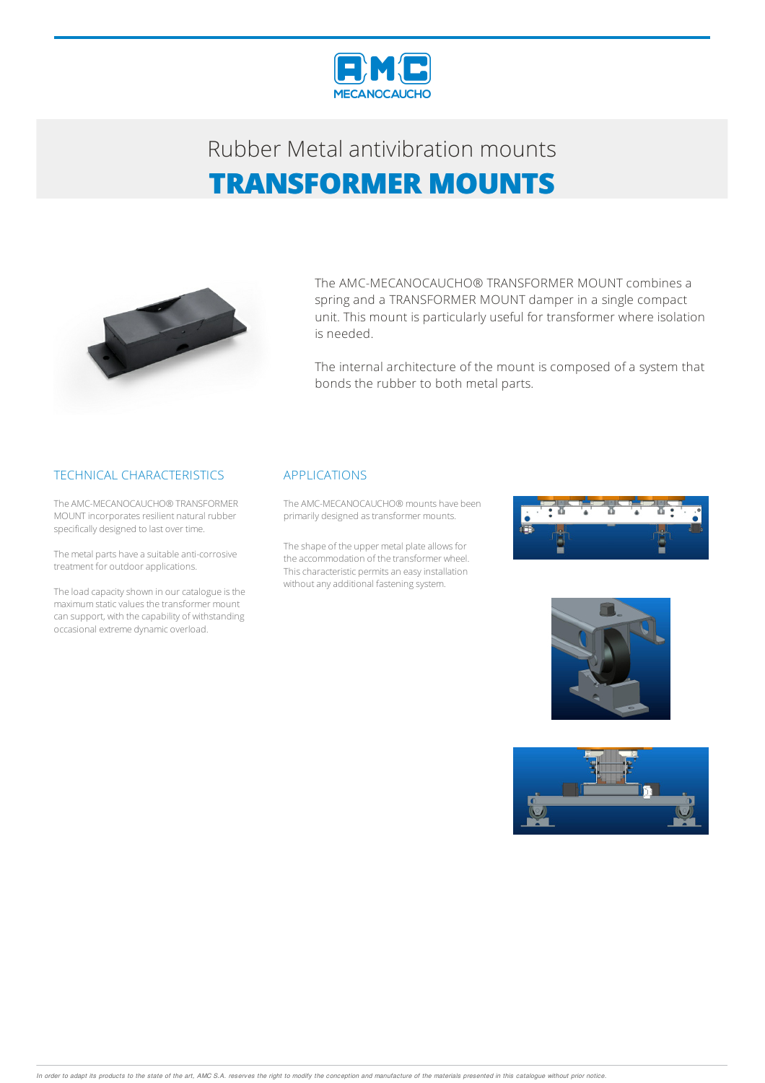

# Rubber Metalantivibration mounts **TRANSFORMER MOUNTS**



The AMC-MECANOCAUCHO® TRANSFORMER MOUNT combines a spring and a TRANSFORMER MOUNT damper in a single compact unit. This mount is particularly useful for transformer where isolation is needed.

The internal architecture of the mount is composed of a system that bonds the rubber to both metal parts.

#### TECHNICAL CHARACTERISTICS

The AMC-MECANOCAUCHO® TRANSFORMER MOUNT incorporates resilient natural rubber specifically designed to last over time.

The metal parts have a suitable anti-corrosive treatment for outdoorapplications.

The load capacity shown in our catalogue is the maximumstaticvaluesthe transformer mount can support, with the capability of withstanding occasional extreme dynamic overload.

#### APPLICATIONS

The AMC-MECANOCAUCHO® mounts have been primarily designed as transformer mounts.

The shape of the upper metal plate allows for the accommodation of the transformer wheel. This characteristic permits an easy installation without any additional fastening system.





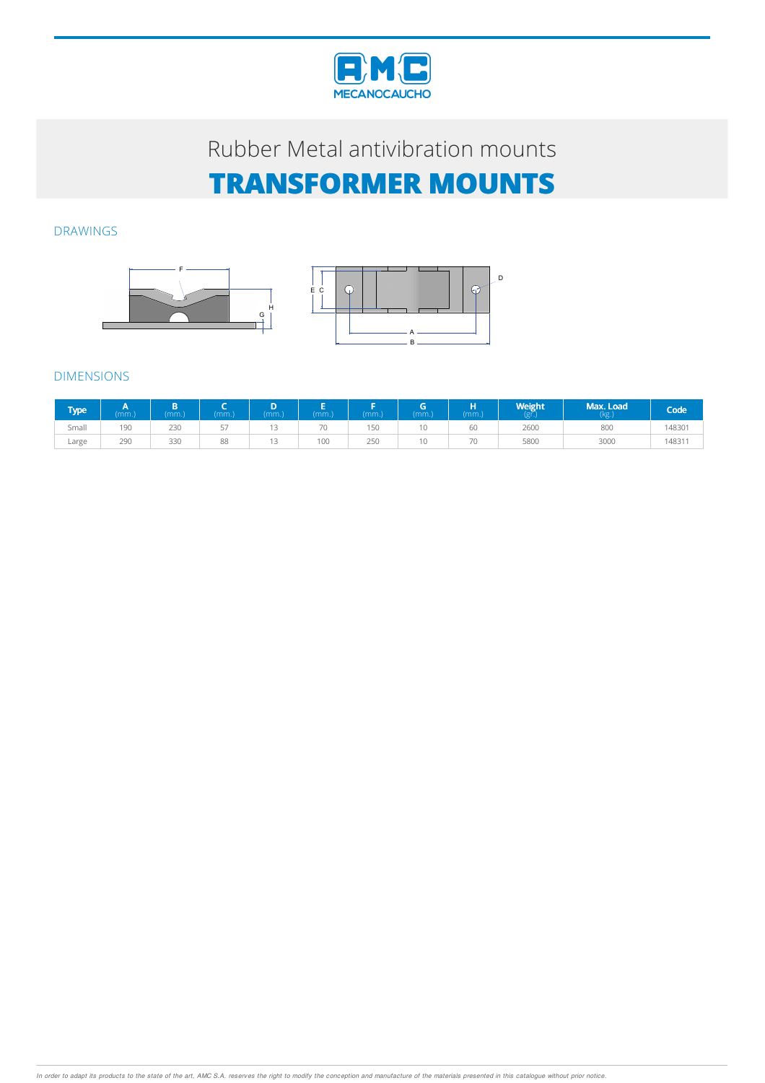

## Rubber Metal antivibration mounts **TRANSFORMER MOUNTS**

#### DRAWINGS





### DIMENSIONS

| Type l | (mm.) | (mm) | mm.     | mm. | mm. | mm. | mm. | п<br>(mm.) | <b>Weight</b> | Max. Load<br>(kg.) | Code'  |
|--------|-------|------|---------|-----|-----|-----|-----|------------|---------------|--------------------|--------|
| Small  | 190   | 230  | --<br>◡ | . . | 70  | 150 |     | 60         | 2600          | 800                | 148301 |
| Large  | 290   | 330  | 88      | . . | 100 | 250 |     | 70         | 5800          | 3000               | 4831   |